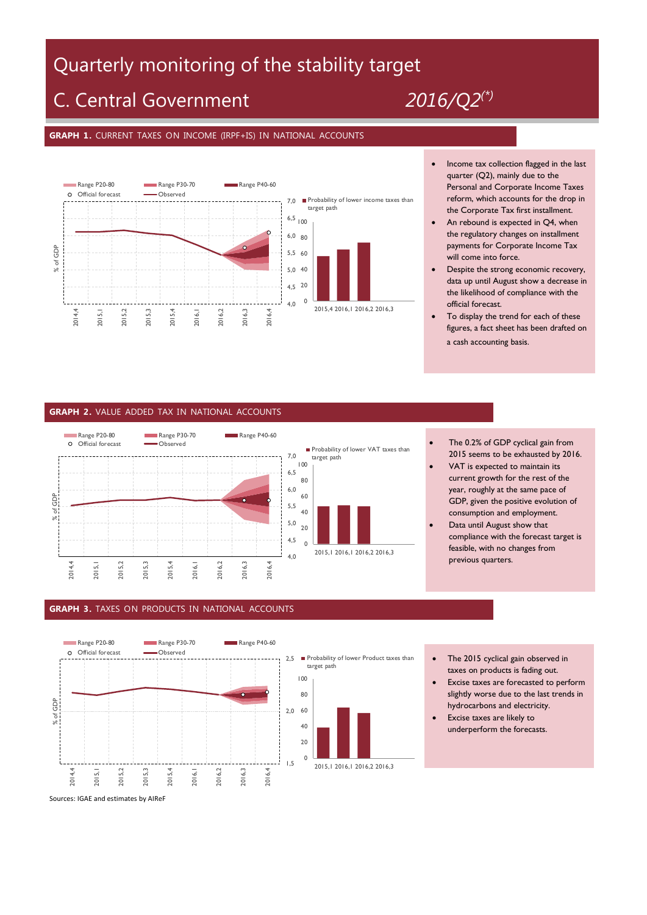# Quarterly monitoring of the stability target

# C. Central Government *2016/Q2(\*)*

## **GRAPH 1.** CURRENT TAXES ON INCOME (IRPF+IS) IN NATIONAL ACCOUNTS



- Income tax collection flagged in the last quarter (Q2), mainly due to the Personal and Corporate Income Taxes reform, which accounts for the drop in the Corporate Tax first installment.
- An rebound is expected in Q4, when the regulatory changes on installment payments for Corporate Income Tax will come into force.
- Despite the strong economic recovery, data up until August show a decrease in the likelihood of compliance with the official forecast.
- To display the trend for each of these figures, a fact sheet has been drafted on a cash accounting basis.

### **GRAPH 2.** VALUE ADDED TAX IN NATIONAL ACCOUNTS



- The 0.2% of GDP cyclical gain from 2015 seems to be exhausted by 2016.
- VAT is expected to maintain its current growth for the rest of the year, roughly at the same pace of GDP, given the positive evolution of consumption and employment.
- Data until August show that compliance with the forecast target is feasible, with no changes from previous quarters.

#### **GRAPH 3.** TAXES ON PRODUCTS IN NATIONAL ACCOUNTS



- The 2015 cyclical gain observed in taxes on products is fading out.
- Excise taxes are forecasted to perform slightly worse due to the last trends in hydrocarbons and electricity.
- Excise taxes are likely to underperform the forecasts.